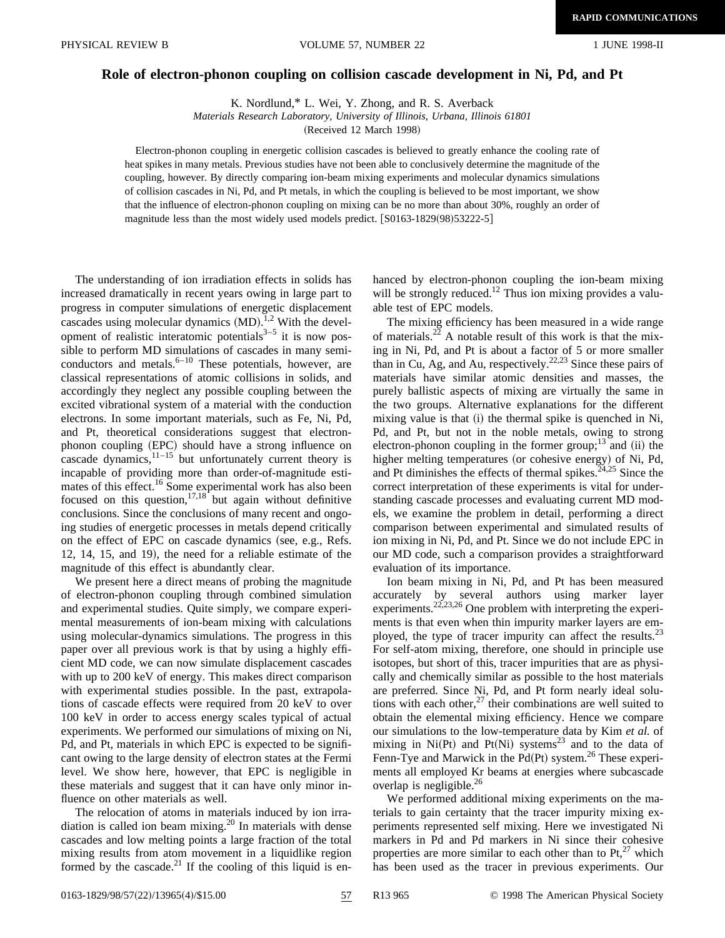## **Role of electron-phonon coupling on collision cascade development in Ni, Pd, and Pt**

K. Nordlund,\* L. Wei, Y. Zhong, and R. S. Averback

*Materials Research Laboratory, University of Illinois, Urbana, Illinois 61801*

(Received 12 March 1998)

Electron-phonon coupling in energetic collision cascades is believed to greatly enhance the cooling rate of heat spikes in many metals. Previous studies have not been able to conclusively determine the magnitude of the coupling, however. By directly comparing ion-beam mixing experiments and molecular dynamics simulations of collision cascades in Ni, Pd, and Pt metals, in which the coupling is believed to be most important, we show that the influence of electron-phonon coupling on mixing can be no more than about 30%, roughly an order of magnitude less than the most widely used models predict.  $[**S**0163-1829(98)53222-5]$ 

The understanding of ion irradiation effects in solids has increased dramatically in recent years owing in large part to progress in computer simulations of energetic displacement cascades using molecular dynamics  $(MD)$ .<sup>1,2</sup> With the development of realistic interatomic potentials $3-5$  it is now possible to perform MD simulations of cascades in many semiconductors and metals. $6-10$  These potentials, however, are classical representations of atomic collisions in solids, and accordingly they neglect any possible coupling between the excited vibrational system of a material with the conduction electrons. In some important materials, such as Fe, Ni, Pd, and Pt, theoretical considerations suggest that electronphonon coupling (EPC) should have a strong influence on cascade dynamics, $11-15$  but unfortunately current theory is incapable of providing more than order-of-magnitude estimates of this effect.<sup>16</sup> Some experimental work has also been focused on this question,  $17,18$  but again without definitive conclusions. Since the conclusions of many recent and ongoing studies of energetic processes in metals depend critically on the effect of EPC on cascade dynamics (see, e.g., Refs. 12, 14, 15, and 19), the need for a reliable estimate of the magnitude of this effect is abundantly clear.

We present here a direct means of probing the magnitude of electron-phonon coupling through combined simulation and experimental studies. Quite simply, we compare experimental measurements of ion-beam mixing with calculations using molecular-dynamics simulations. The progress in this paper over all previous work is that by using a highly efficient MD code, we can now simulate displacement cascades with up to 200 keV of energy. This makes direct comparison with experimental studies possible. In the past, extrapolations of cascade effects were required from 20 keV to over 100 keV in order to access energy scales typical of actual experiments. We performed our simulations of mixing on Ni, Pd, and Pt, materials in which EPC is expected to be significant owing to the large density of electron states at the Fermi level. We show here, however, that EPC is negligible in these materials and suggest that it can have only minor influence on other materials as well.

The relocation of atoms in materials induced by ion irradiation is called ion beam mixing. $20$  In materials with dense cascades and low melting points a large fraction of the total mixing results from atom movement in a liquidlike region formed by the cascade.<sup>21</sup> If the cooling of this liquid is enhanced by electron-phonon coupling the ion-beam mixing will be strongly reduced.<sup>12</sup> Thus ion mixing provides a valuable test of EPC models.

The mixing efficiency has been measured in a wide range of materials.<sup>22</sup> A notable result of this work is that the mixing in Ni, Pd, and Pt is about a factor of 5 or more smaller than in Cu, Ag, and Au, respectively.<sup>22,23</sup> Since these pairs of materials have similar atomic densities and masses, the purely ballistic aspects of mixing are virtually the same in the two groups. Alternative explanations for the different mixing value is that  $(i)$  the thermal spike is quenched in Ni, Pd, and Pt, but not in the noble metals, owing to strong electron-phonon coupling in the former group; $^{13}$  and (ii) the higher melting temperatures (or cohesive energy) of Ni, Pd, and Pt diminishes the effects of thermal spikes. $24.25$  Since the correct interpretation of these experiments is vital for understanding cascade processes and evaluating current MD models, we examine the problem in detail, performing a direct comparison between experimental and simulated results of ion mixing in Ni, Pd, and Pt. Since we do not include EPC in our MD code, such a comparison provides a straightforward evaluation of its importance.

Ion beam mixing in Ni, Pd, and Pt has been measured accurately by several authors using marker layer experiments.<sup>22,23,26</sup> One problem with interpreting the experiments is that even when thin impurity marker layers are employed, the type of tracer impurity can affect the results. $^{23}$ For self-atom mixing, therefore, one should in principle use isotopes, but short of this, tracer impurities that are as physically and chemically similar as possible to the host materials are preferred. Since Ni, Pd, and Pt form nearly ideal solutions with each other, $27$  their combinations are well suited to obtain the elemental mixing efficiency. Hence we compare our simulations to the low-temperature data by Kim *et al.* of mixing in Ni(Pt) and Pt(Ni) systems<sup>23</sup> and to the data of Fenn-Tye and Marwick in the  $Pd(Pt)$  system.<sup>26</sup> These experiments all employed Kr beams at energies where subcascade overlap is negligible. $26$ 

We performed additional mixing experiments on the materials to gain certainty that the tracer impurity mixing experiments represented self mixing. Here we investigated Ni markers in Pd and Pd markers in Ni since their cohesive properties are more similar to each other than to  $Pt<sub>1</sub><sup>27</sup>$  which has been used as the tracer in previous experiments. Our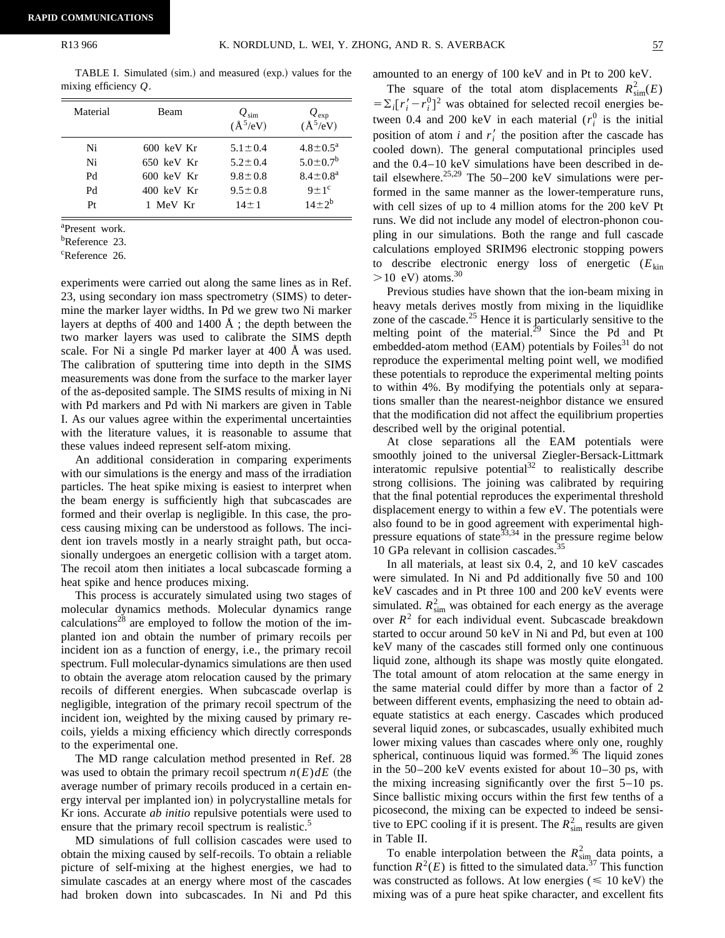TABLE I. Simulated (sim.) and measured (exp.) values for the mixing efficiency *Q*.

| Material | <b>Beam</b>            | $Q_{\rm sim}$<br>$(\text{Å}^5/\text{eV})$ | $Q_{\rm exp}$<br>$(\text{Å}^5/\text{eV})$ |
|----------|------------------------|-------------------------------------------|-------------------------------------------|
| Ni       | $600~{\rm keV}$ Kr     | $5.1 \pm 0.4$                             | $4.8 \pm 0.5^{\text{a}}$                  |
| Ni       | $650~{\rm keV}$ Kr     | $5.2 \pm 0.4$                             | $5.0 \pm 0.7$ <sup>b</sup>                |
| Pd       | $600 \; \text{keV}$ Kr | $9.8 \pm 0.8$                             | $8.4 \pm 0.8^a$                           |
| Pd       | $400~{\rm keV}$ Kr     | $9.5 \pm 0.8$                             | $9+1^{\circ}$                             |
| Pt       | 1 MeV Kr               | $14 + 1$                                  | $14 \pm 2^{b}$                            |

a Present work.

b Reference 23.

<sup>c</sup>Reference 26.

experiments were carried out along the same lines as in Ref. 23, using secondary ion mass spectrometry (SIMS) to determine the marker layer widths. In Pd we grew two Ni marker layers at depths of 400 and 1400 Å ; the depth between the two marker layers was used to calibrate the SIMS depth scale. For Ni a single Pd marker layer at 400 Å was used. The calibration of sputtering time into depth in the SIMS measurements was done from the surface to the marker layer of the as-deposited sample. The SIMS results of mixing in Ni with Pd markers and Pd with Ni markers are given in Table I. As our values agree within the experimental uncertainties with the literature values, it is reasonable to assume that these values indeed represent self-atom mixing.

An additional consideration in comparing experiments with our simulations is the energy and mass of the irradiation particles. The heat spike mixing is easiest to interpret when the beam energy is sufficiently high that subcascades are formed and their overlap is negligible. In this case, the process causing mixing can be understood as follows. The incident ion travels mostly in a nearly straight path, but occasionally undergoes an energetic collision with a target atom. The recoil atom then initiates a local subcascade forming a heat spike and hence produces mixing.

This process is accurately simulated using two stages of molecular dynamics methods. Molecular dynamics range calculations<sup>28</sup> are employed to follow the motion of the implanted ion and obtain the number of primary recoils per incident ion as a function of energy, i.e., the primary recoil spectrum. Full molecular-dynamics simulations are then used to obtain the average atom relocation caused by the primary recoils of different energies. When subcascade overlap is negligible, integration of the primary recoil spectrum of the incident ion, weighted by the mixing caused by primary recoils, yields a mixing efficiency which directly corresponds to the experimental one.

The MD range calculation method presented in Ref. 28 was used to obtain the primary recoil spectrum  $n(E)dE$  (the average number of primary recoils produced in a certain energy interval per implanted ion) in polycrystalline metals for Kr ions. Accurate *ab initio* repulsive potentials were used to ensure that the primary recoil spectrum is realistic.<sup>5</sup>

MD simulations of full collision cascades were used to obtain the mixing caused by self-recoils. To obtain a reliable picture of self-mixing at the highest energies, we had to simulate cascades at an energy where most of the cascades had broken down into subcascades. In Ni and Pd this amounted to an energy of 100 keV and in Pt to 200 keV.

The square of the total atom displacements  $R_{\text{sim}}^2(E)$  $= \sum_i [r'_i - r_i^0]^2$  was obtained for selected recoil energies between 0.4 and 200 keV in each material  $(r_i^0)$  is the initial position of atom  $i$  and  $r_i'$  the position after the cascade has cooled down). The general computational principles used and the 0.4–10 keV simulations have been described in detail elsewhere.<sup>25,29</sup> The 50–200 keV simulations were performed in the same manner as the lower-temperature runs, with cell sizes of up to 4 million atoms for the 200 keV Pt runs. We did not include any model of electron-phonon coupling in our simulations. Both the range and full cascade calculations employed SRIM96 electronic stopping powers to describe electronic energy loss of energetic  $(E_{kin})$  $>10$  eV) atoms.<sup>30</sup>

Previous studies have shown that the ion-beam mixing in heavy metals derives mostly from mixing in the liquidlike zone of the cascade.<sup>25</sup> Hence it is particularly sensitive to the melting point of the material.<sup>29</sup> Since the Pd and Pt embedded-atom method  $(EAM)$  potentials by Foiles<sup>31</sup> do not reproduce the experimental melting point well, we modified these potentials to reproduce the experimental melting points to within 4%. By modifying the potentials only at separations smaller than the nearest-neighbor distance we ensured that the modification did not affect the equilibrium properties described well by the original potential.

At close separations all the EAM potentials were smoothly joined to the universal Ziegler-Bersack-Littmark interatomic repulsive potential $32$  to realistically describe strong collisions. The joining was calibrated by requiring that the final potential reproduces the experimental threshold displacement energy to within a few eV. The potentials were also found to be in good agreement with experimental highpressure equations of state<sup>33,34</sup> in the pressure regime below 10 GPa relevant in collision cascades.<sup>35</sup>

In all materials, at least six 0.4, 2, and 10 keV cascades were simulated. In Ni and Pd additionally five 50 and 100 keV cascades and in Pt three 100 and 200 keV events were simulated.  $R_{sim}^2$  was obtained for each energy as the average over  $R^2$  for each individual event. Subcascade breakdown started to occur around 50 keV in Ni and Pd, but even at 100 keV many of the cascades still formed only one continuous liquid zone, although its shape was mostly quite elongated. The total amount of atom relocation at the same energy in the same material could differ by more than a factor of 2 between different events, emphasizing the need to obtain adequate statistics at each energy. Cascades which produced several liquid zones, or subcascades, usually exhibited much lower mixing values than cascades where only one, roughly spherical, continuous liquid was formed.<sup>36</sup> The liquid zones in the 50–200 keV events existed for about 10–30 ps, with the mixing increasing significantly over the first 5–10 ps. Since ballistic mixing occurs within the first few tenths of a picosecond, the mixing can be expected to indeed be sensitive to EPC cooling if it is present. The  $R_{sim}^2$  results are given in Table II.

To enable interpolation between the  $R_{\text{sim}}^2$  data points, a function  $R^2(E)$  is fitted to the simulated data.<sup>37</sup> This function was constructed as follows. At low energies ( $\leq 10 \text{ keV}$ ) the mixing was of a pure heat spike character, and excellent fits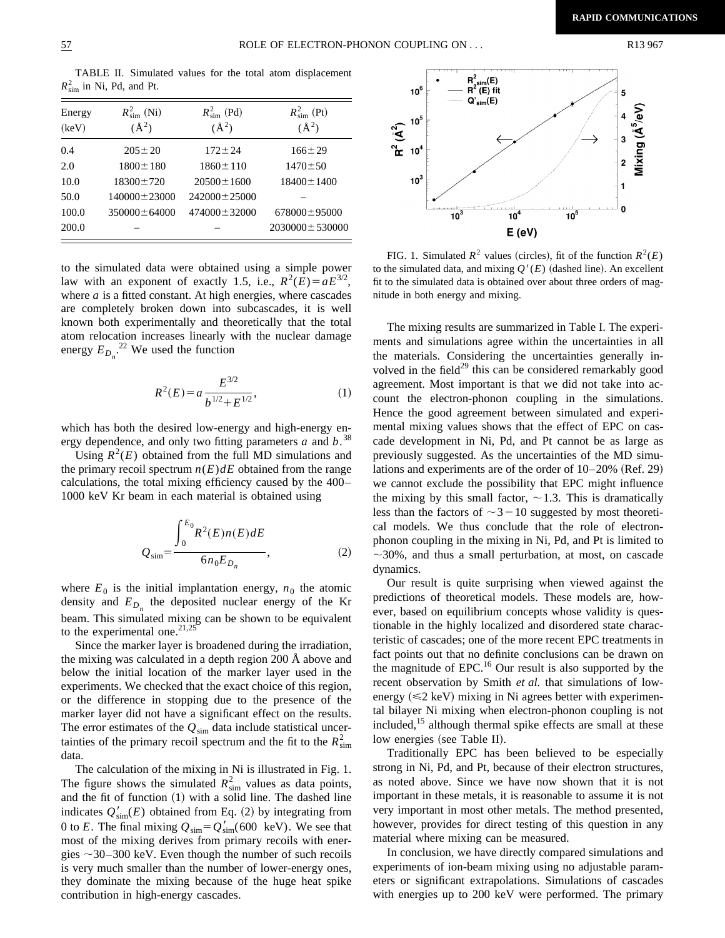TABLE II. Simulated values for the total atom displacement  $R_{\text{sim}}^2$  in Ni, Pd, and Pt.

| Energy<br>(keV) | $R_{\text{sim}}^2$ (Ni)<br>$(\AA^2)$ | $R_{\text{sim}}^2$ (Pd)<br>$(\AA^2)$ | $R_{\text{sim}}^2$ (Pt)<br>$(\AA^2)$ |
|-----------------|--------------------------------------|--------------------------------------|--------------------------------------|
| 0.4             | $205 \pm 20$                         | $172 \pm 24$                         | $166 \pm 29$                         |
| 2.0             | $1800 \pm 180$                       | $1860 \pm 110$                       | $1470 \pm 50$                        |
| 10.0            | 18300±720                            | $20500 \pm 1600$                     | $18400 \pm 1400$                     |
| 50.0            | $140000 \pm 23000$                   | $242000 \pm 25000$                   |                                      |
| 100.0           | $350000 \pm 64000$                   | $474000 \pm 32000$                   | 678000±95000                         |
| 200.0           |                                      |                                      | $2030000 \pm 530000$                 |

to the simulated data were obtained using a simple power law with an exponent of exactly 1.5, i.e.,  $R^2(E) = aE^{3/2}$ , where  $a$  is a fitted constant. At high energies, where cascades are completely broken down into subcascades, it is well known both experimentally and theoretically that the total atom relocation increases linearly with the nuclear damage energy  $E_{D_n}$ <sup>22</sup> We used the function

$$
R^{2}(E) = a \frac{E^{3/2}}{b^{1/2} + E^{1/2}},
$$
 (1)

which has both the desired low-energy and high-energy energy dependence, and only two fitting parameters  $a$  and  $b$ .<sup>38</sup>

Using  $R^2(E)$  obtained from the full MD simulations and the primary recoil spectrum  $n(E)dE$  obtained from the range calculations, the total mixing efficiency caused by the 400– 1000 keV Kr beam in each material is obtained using

$$
Q_{\text{sim}} = \frac{\int_0^{E_0} R^2(E) n(E) dE}{6 n_0 E_{D_n}},
$$
 (2)

where  $E_0$  is the initial implantation energy,  $n_0$  the atomic density and  $E_{D_n}$  the deposited nuclear energy of the Kr beam. This simulated mixing can be shown to be equivalent to the experimental one.<sup>21,25</sup>

Since the marker layer is broadened during the irradiation, the mixing was calculated in a depth region 200 Å above and below the initial location of the marker layer used in the experiments. We checked that the exact choice of this region, or the difference in stopping due to the presence of the marker layer did not have a significant effect on the results. The error estimates of the *Q*sim data include statistical uncertainties of the primary recoil spectrum and the fit to the  $R_{sim}^2$ data.

The calculation of the mixing in Ni is illustrated in Fig. 1. The figure shows the simulated  $R_{\text{sim}}^2$  values as data points, and the fit of function  $(1)$  with a solid line. The dashed line indicates  $Q'_{sim}(E)$  obtained from Eq. (2) by integrating from 0 to *E*. The final mixing  $Q_{\text{sim}} = Q'_{\text{sim}} (600 \text{ keV})$ . We see that most of the mixing derives from primary recoils with energies  $\sim$ 30–300 keV. Even though the number of such recoils is very much smaller than the number of lower-energy ones, they dominate the mixing because of the huge heat spike contribution in high-energy cascades.



FIG. 1. Simulated  $R^2$  values (circles), fit of the function  $R^2(E)$ to the simulated data, and mixing  $Q'(E)$  (dashed line). An excellent fit to the simulated data is obtained over about three orders of magnitude in both energy and mixing.

The mixing results are summarized in Table I. The experiments and simulations agree within the uncertainties in all the materials. Considering the uncertainties generally involved in the field $^{29}$  this can be considered remarkably good agreement. Most important is that we did not take into account the electron-phonon coupling in the simulations. Hence the good agreement between simulated and experimental mixing values shows that the effect of EPC on cascade development in Ni, Pd, and Pt cannot be as large as previously suggested. As the uncertainties of the MD simulations and experiments are of the order of  $10-20%$  (Ref. 29) we cannot exclude the possibility that EPC might influence the mixing by this small factor,  $\sim$  1.3. This is dramatically less than the factors of  $\sim$ 3-10 suggested by most theoretical models. We thus conclude that the role of electronphonon coupling in the mixing in Ni, Pd, and Pt is limited to  $\sim$ 30%, and thus a small perturbation, at most, on cascade dynamics.

Our result is quite surprising when viewed against the predictions of theoretical models. These models are, however, based on equilibrium concepts whose validity is questionable in the highly localized and disordered state characteristic of cascades; one of the more recent EPC treatments in fact points out that no definite conclusions can be drawn on the magnitude of EPC.<sup>16</sup> Our result is also supported by the recent observation by Smith *et al.* that simulations of lowenergy  $(\leq 2 \text{ keV})$  mixing in Ni agrees better with experimental bilayer Ni mixing when electron-phonon coupling is not included, $15$  although thermal spike effects are small at these low energies (see Table II).

Traditionally EPC has been believed to be especially strong in Ni, Pd, and Pt, because of their electron structures, as noted above. Since we have now shown that it is not important in these metals, it is reasonable to assume it is not very important in most other metals. The method presented, however, provides for direct testing of this question in any material where mixing can be measured.

In conclusion, we have directly compared simulations and experiments of ion-beam mixing using no adjustable parameters or significant extrapolations. Simulations of cascades with energies up to 200 keV were performed. The primary